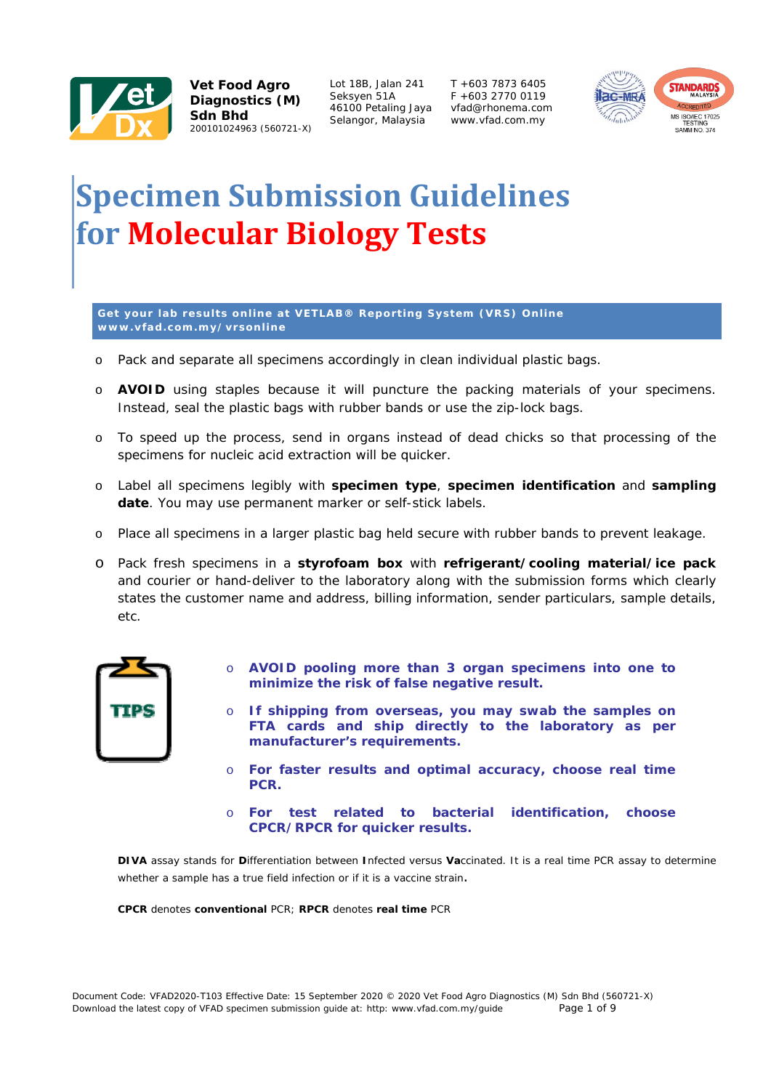

Lot 18B, Jalan 241 Seksyen 51A 46100 Petaling Jaya Selangor, Malaysia

T +603 7873 6405  $F + 603$  2770 0119 vfad@rhonema.com www.vfad.com.my



## **Specimen Submission Guidelines for Molecular Biology Tests**

**Get your lab results online at VETLAB® Reporting System (VRS) Online www.vfad.com.my/vrsonline** 

- o *Pack and separate all specimens accordingly in clean individual plastic bags.*
- o *AVOID using staples because it will puncture the packing materials of your specimens. Instead, seal the plastic bags with rubber bands or use the zip-lock bags.*
- o *To speed up the process, send in organs instead of dead chicks so that processing of the specimens for nucleic acid extraction will be quicker.*
- o *Label all specimens legibly with specimen type, specimen identification and sampling date. You may use permanent marker or self-stick labels.*
- o *Place all specimens in a larger plastic bag held secure with rubber bands to prevent leakage.*
- o *Pack fresh specimens in a styrofoam box with refrigerant/cooling material/ice pack and courier or hand-deliver to the laboratory along with the submission forms which clearly states the customer name and address, billing information, sender particulars, sample details, etc.*



- o **AVOID pooling more than 3 organ specimens into one to minimize the risk of false negative result.**
- o **If shipping from overseas, you may swab the samples on FTA cards and ship directly to the laboratory as per manufacturer's requirements.**
- o **For faster results and optimal accuracy, choose real time PCR.**
- o **For test related to bacterial identification, choose CPCR/RPCR for quicker results.**

*DIVA assay stands for Differentiation between Infected versus Vaccinated. It is a real time PCR assay to determine whether a sample has a true field infection or if it is a vaccine strain.* 

*CPCR denotes conventional PCR; RPCR denotes real time PCR*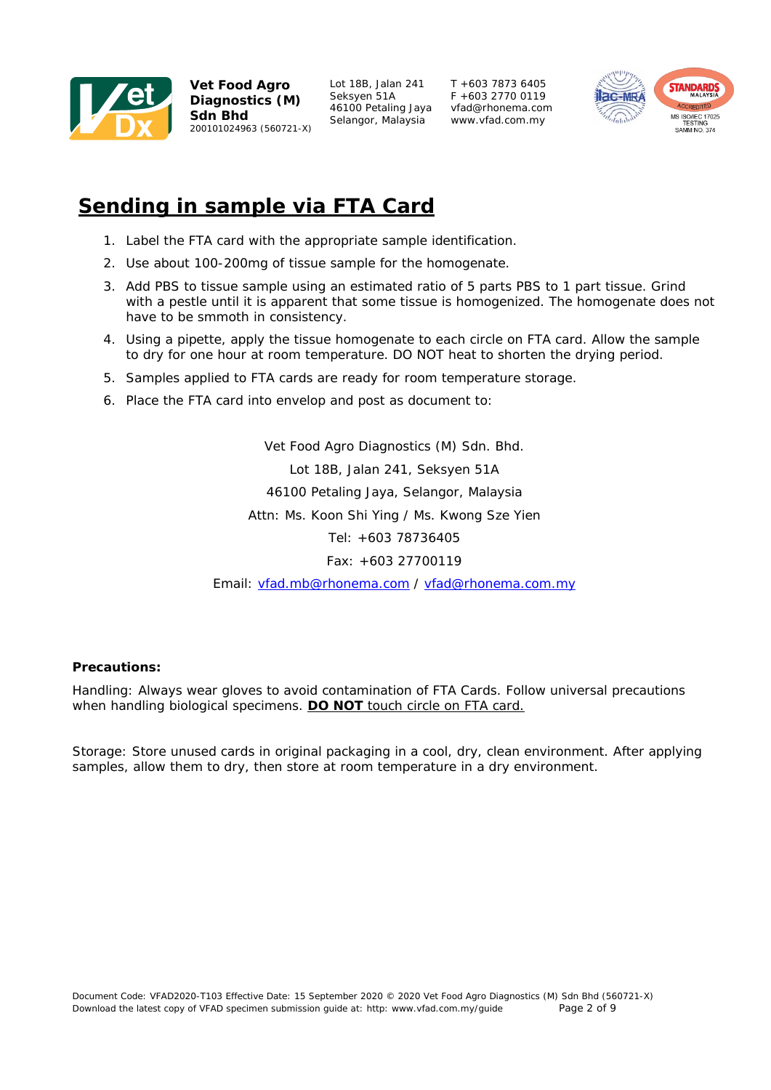

Lot 18B, Jalan 241 Seksyen 51A 46100 Petaling Jaya Selangor, Malaysia

T +603 7873 6405  $F + 603$  2770 0119 vfad@rhonema.com www.vfad.com.my



## **Sending in sample via FTA Card**

- 1. Label the FTA card with the appropriate sample identification.
- 2. Use about 100-200mg of tissue sample for the homogenate.
- 3. Add PBS to tissue sample using an estimated ratio of 5 parts PBS to 1 part tissue. Grind with a pestle until it is apparent that some tissue is homogenized. The homogenate does not have to be smmoth in consistency.
- 4. Using a pipette, apply the tissue homogenate to each circle on FTA card. Allow the sample to dry for one hour at room temperature. DO NOT heat to shorten the drying period.
- 5. Samples applied to FTA cards are ready for room temperature storage.
- 6. Place the FTA card into envelop and post as document to:

Vet Food Agro Diagnostics (M) Sdn. Bhd. Lot 18B, Jalan 241, Seksyen 51A 46100 Petaling Jaya, Selangor, Malaysia Attn: Ms. Koon Shi Ying / Ms. Kwong Sze Yien Tel: +603 78736405 Fax: +603 27700119

Email: vfad.mb@rhonema.com / vfad@rhonema.com.my

## **Precautions:**

Handling: Always wear gloves to avoid contamination of FTA Cards. Follow universal precautions when handling biological specimens. **DO NOT** touch circle on FTA card.

Storage: Store unused cards in original packaging in a cool, dry, clean environment. After applying samples, allow them to dry, then store at room temperature in a dry environment.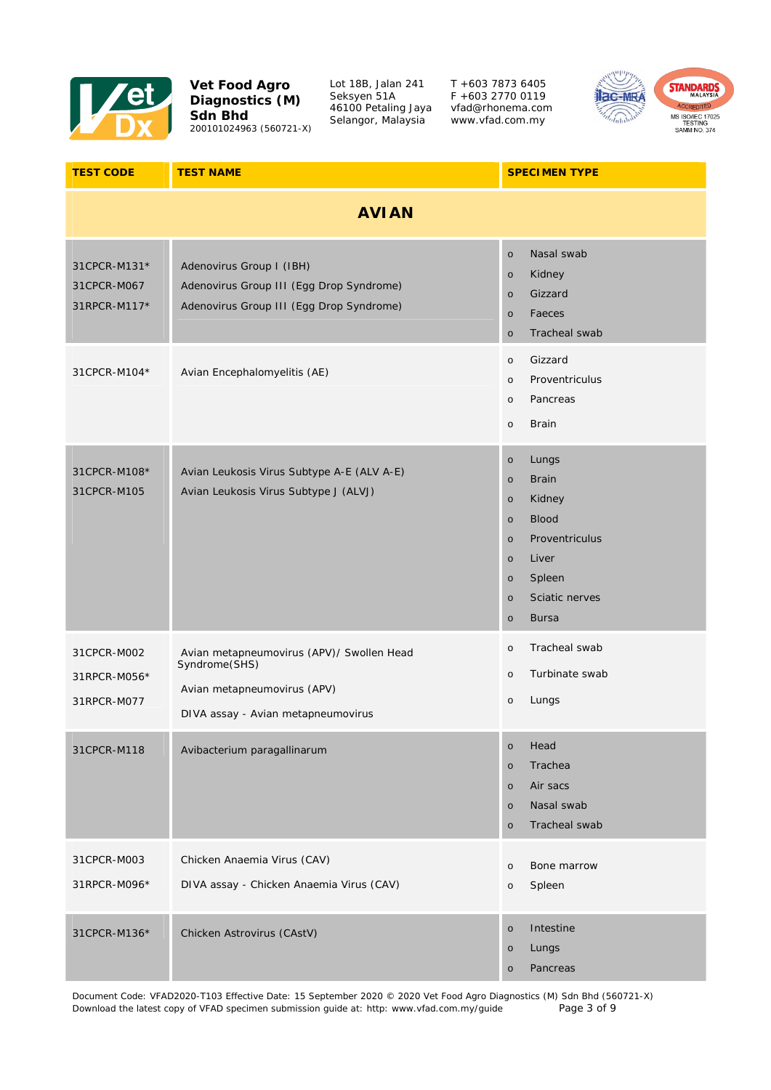

Lot 18B, Jalan 241 Seksyen 51A 46100 Petaling Jaya Selangor, Malaysia

T +603 7873 6405 F +603 2770 0119 vfad@rhonema.com www.vfad.com.my



| <b>TEST CODE</b>                            | <b>TEST NAME</b>                                                                                                                | <b>SPECIMEN TYPE</b>                                                                                                                                                                                                      |
|---------------------------------------------|---------------------------------------------------------------------------------------------------------------------------------|---------------------------------------------------------------------------------------------------------------------------------------------------------------------------------------------------------------------------|
|                                             | <b>AVIAN</b>                                                                                                                    |                                                                                                                                                                                                                           |
| 31CPCR-M131*<br>31CPCR-M067<br>31RPCR-M117* | Adenovirus Group I (IBH)<br>Adenovirus Group III (Egg Drop Syndrome)<br>Adenovirus Group III (Egg Drop Syndrome)                | Nasal swab<br>$\circ$<br>Kidney<br>$\circ$<br>Gizzard<br>$\circ$<br>Faeces<br>$\circ$<br>Tracheal swab<br>$\circ$                                                                                                         |
| 31CPCR-M104*                                | Avian Encephalomyelitis (AE)                                                                                                    | Gizzard<br>$\circ$<br>Proventriculus<br>$\circ$<br>Pancreas<br>$\circ$<br><b>Brain</b><br>$\circ$                                                                                                                         |
| 31CPCR-M108*<br>31CPCR-M105                 | Avian Leukosis Virus Subtype A-E (ALV A-E)<br>Avian Leukosis Virus Subtype J (ALVJ)                                             | Lungs<br>$\circ$<br><b>Brain</b><br>$\circ$<br>Kidney<br>$\circ$<br><b>Blood</b><br>$\circ$<br>Proventriculus<br>$\circ$<br>Liver<br>$\circ$<br>Spleen<br>$\circ$<br>Sciatic nerves<br>$\circ$<br><b>Bursa</b><br>$\circ$ |
| 31CPCR-M002<br>31RPCR-M056*<br>31RPCR-M077  | Avian metapneumovirus (APV)/ Swollen Head<br>Syndrome(SHS)<br>Avian metapneumovirus (APV)<br>DIVA assay - Avian metapneumovirus | Tracheal swab<br>$\circ$<br>Turbinate swab<br>$\circ$<br>Lungs<br>$\circ$                                                                                                                                                 |
| 31CPCR-M118                                 | Avibacterium paragallinarum                                                                                                     | Head<br>$\circ$<br>Trachea<br>$\circ$<br>Air sacs<br>$\circ$<br>Nasal swab<br>$\circ$<br>Tracheal swab<br>$\circ$                                                                                                         |
| 31CPCR-M003<br>31RPCR-M096*                 | Chicken Anaemia Virus (CAV)<br>DIVA assay - Chicken Anaemia Virus (CAV)                                                         | Bone marrow<br>$\circ$<br>Spleen<br>$\circ$                                                                                                                                                                               |
| 31CPCR-M136*                                | Chicken Astrovirus (CAstV)                                                                                                      | Intestine<br>$\circ$<br>Lungs<br>$\circ$<br>Pancreas<br>$\circ$                                                                                                                                                           |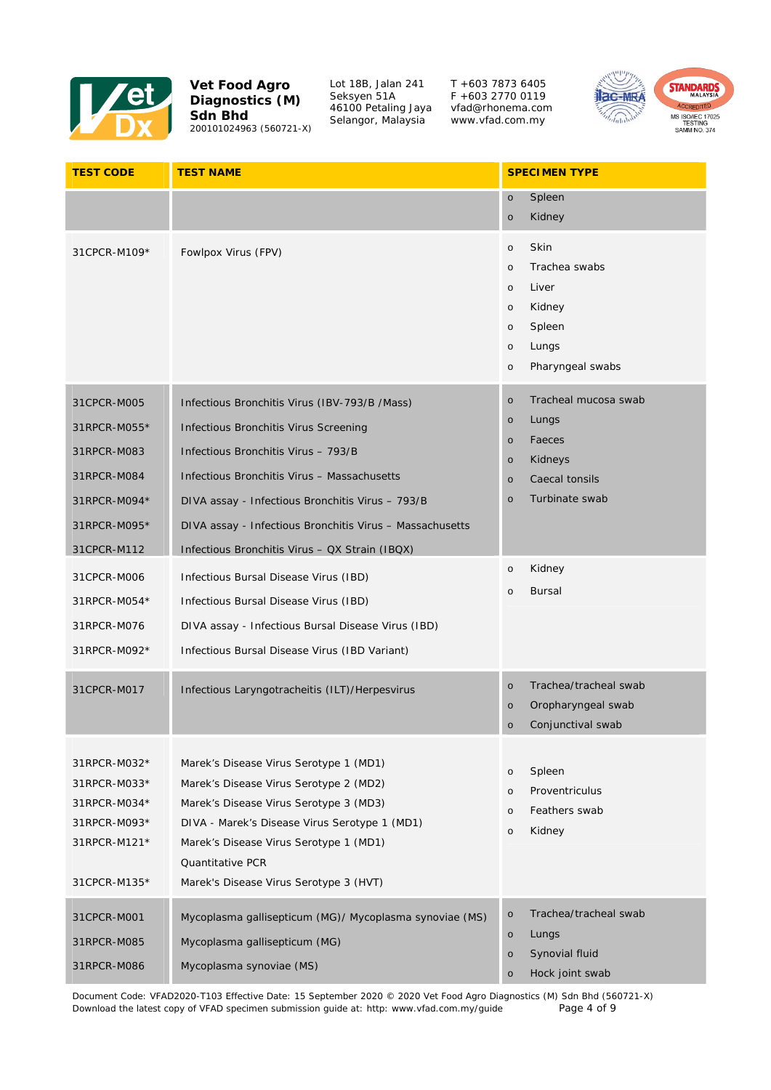

Lot 18B, Jalan 241 Seksyen 51A 46100 Petaling Jaya Selangor, Malaysia

T +603 7873 6405 F +603 2770 0119 vfad@rhonema.com www.vfad.com.my



| <b>TEST CODE</b>                                                                                         | <b>TEST NAME</b>                                                                                                                                                                                                                                                                                                                               | <b>SPECIMEN TYPE</b>                                                                                                                                                              |
|----------------------------------------------------------------------------------------------------------|------------------------------------------------------------------------------------------------------------------------------------------------------------------------------------------------------------------------------------------------------------------------------------------------------------------------------------------------|-----------------------------------------------------------------------------------------------------------------------------------------------------------------------------------|
|                                                                                                          |                                                                                                                                                                                                                                                                                                                                                | Spleen<br>$\circ$                                                                                                                                                                 |
| 31CPCR-M109*                                                                                             | Fowlpox Virus (FPV)                                                                                                                                                                                                                                                                                                                            | Kidney<br>$\circ$<br>Skin<br>$\circ$<br>Trachea swabs<br>$\circ$<br>Liver<br>$\circ$<br>Kidney<br>$\circ$<br>Spleen<br>$\circ$<br>Lungs<br>$\circ$<br>Pharyngeal swabs<br>$\circ$ |
| 31CPCR-M005<br>31RPCR-M055*<br>31RPCR-M083<br>31RPCR-M084<br>31RPCR-M094*<br>31RPCR-M095*<br>31CPCR-M112 | Infectious Bronchitis Virus (IBV-793/B /Mass)<br>Infectious Bronchitis Virus Screening<br>Infectious Bronchitis Virus - 793/B<br>Infectious Bronchitis Virus - Massachusetts<br>DIVA assay - Infectious Bronchitis Virus - 793/B<br>DIVA assay - Infectious Bronchitis Virus - Massachusetts<br>Infectious Bronchitis Virus - QX Strain (IBQX) | Tracheal mucosa swab<br>$\circ$<br>Lungs<br>$\circ$<br>Faeces<br>$\circ$<br>Kidneys<br>$\circ$<br>Caecal tonsils<br>$\circ$<br>Turbinate swab<br>$\circ$                          |
| 31CPCR-M006<br>31RPCR-M054*<br>31RPCR-M076<br>31RPCR-M092*                                               | Infectious Bursal Disease Virus (IBD)<br>Infectious Bursal Disease Virus (IBD)<br>DIVA assay - Infectious Bursal Disease Virus (IBD)<br>Infectious Bursal Disease Virus (IBD Variant)                                                                                                                                                          | Kidney<br>$\circ$<br><b>Bursal</b><br>$\circ$                                                                                                                                     |
| 31CPCR-M017                                                                                              | Infectious Laryngotracheitis (ILT)/Herpesvirus                                                                                                                                                                                                                                                                                                 | Trachea/tracheal swab<br>$\circ$<br>Oropharyngeal swab<br>$\circ$<br>Conjunctival swab<br>$\circ$                                                                                 |
| 31RPCR-M032*<br>31RPCR-M033*<br>31RPCR-M034*<br>31RPCR-M093*<br>31RPCR-M121*<br>31CPCR-M135*             | Marek's Disease Virus Serotype 1 (MD1)<br>Marek's Disease Virus Serotype 2 (MD2)<br>Marek's Disease Virus Serotype 3 (MD3)<br>DIVA - Marek's Disease Virus Serotype 1 (MD1)<br>Marek's Disease Virus Serotype 1 (MD1)<br><b>Quantitative PCR</b><br>Marek's Disease Virus Serotype 3 (HVT)                                                     | Spleen<br>$\circ$<br>Proventriculus<br>$\circ$<br>Feathers swab<br>$\circ$<br>Kidney<br>$\circ$                                                                                   |
| 31CPCR-M001<br>31RPCR-M085<br>31RPCR-M086                                                                | Mycoplasma gallisepticum (MG)/ Mycoplasma synoviae (MS)<br>Mycoplasma gallisepticum (MG)<br>Mycoplasma synoviae (MS)                                                                                                                                                                                                                           | Trachea/tracheal swab<br>$\circ$<br>Lungs<br>$\circ$<br>Synovial fluid<br>$\circ$<br>Hock joint swab<br>$\circ$                                                                   |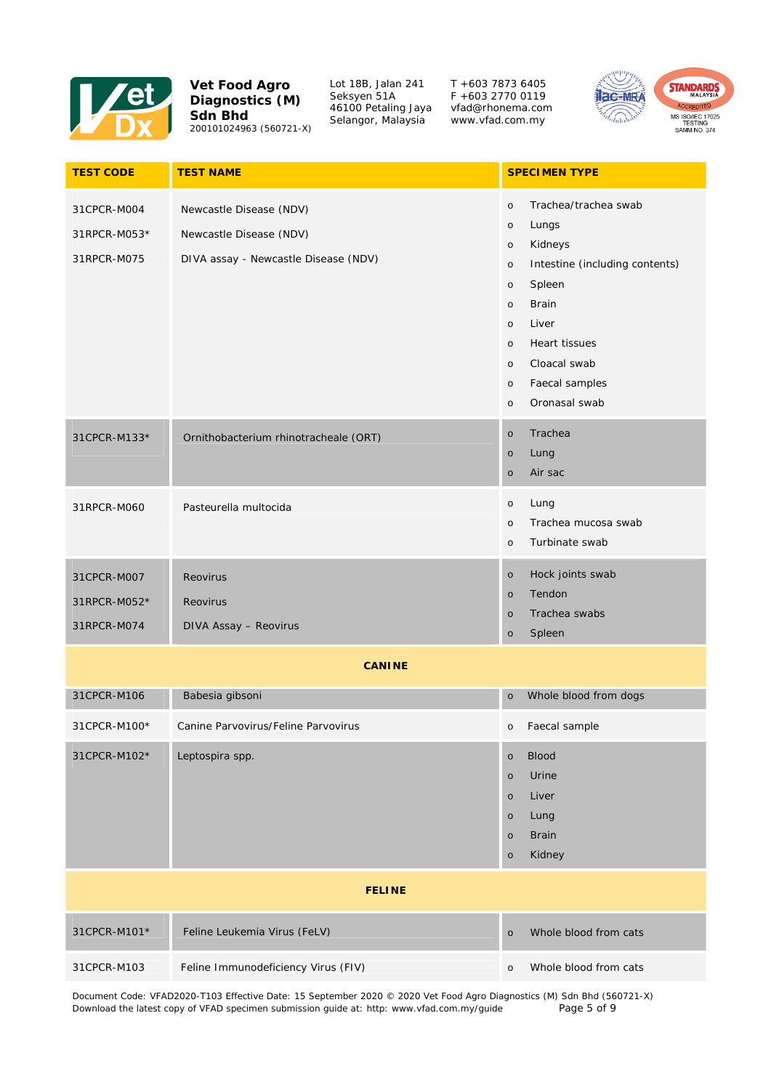

Lot 18B, Jalan 241 Seksyen 51A 46100 Petaling Jaya Selangor, Malaysia

T +603 7873 6405 F +603 2770 0119 vfad@rhonema.com www.vfad.com.my



| <b>TEST CODE</b>                           | <b>TEST NAME</b>                                                                           | <b>SPECIMEN TYPE</b>                                                                                                                                                                                                                                                                                              |
|--------------------------------------------|--------------------------------------------------------------------------------------------|-------------------------------------------------------------------------------------------------------------------------------------------------------------------------------------------------------------------------------------------------------------------------------------------------------------------|
| 31CPCR-M004<br>31RPCR-M053*<br>31RPCR-M075 | Newcastle Disease (NDV)<br>Newcastle Disease (NDV)<br>DIVA assay - Newcastle Disease (NDV) | Trachea/trachea swab<br>$\circ$<br>Lungs<br>$\circ$<br>Kidneys<br>$\circ$<br>Intestine (including contents)<br>$\circ$<br>Spleen<br>$\circ$<br><b>Brain</b><br>$\circ$<br>Liver<br>$\circ$<br><b>Heart tissues</b><br>$\circ$<br>Cloacal swab<br>$\circ$<br>Faecal samples<br>$\circ$<br>Oronasal swab<br>$\circ$ |
| 31CPCR-M133*                               | Ornithobacterium rhinotracheale (ORT)                                                      | Trachea<br>$\circ$<br>Lung<br>$\circ$<br>Air sac<br>$\circ$                                                                                                                                                                                                                                                       |
| 31RPCR-M060                                | Pasteurella multocida                                                                      | Lung<br>$\circ$<br>Trachea mucosa swab<br>$\circ$<br>Turbinate swab<br>$\circ$                                                                                                                                                                                                                                    |
| 31CPCR-M007<br>31RPCR-M052*<br>31RPCR-M074 | Reovirus<br>Reovirus<br>DIVA Assay - Reovirus                                              | Hock joints swab<br>$\circ$<br>Tendon<br>$\circ$<br>Trachea swabs<br>$\circ$<br>Spleen<br>$\circ$                                                                                                                                                                                                                 |
|                                            | <b>CANINE</b>                                                                              |                                                                                                                                                                                                                                                                                                                   |
| 31CPCR-M106                                | Babesia gibsoni                                                                            | Whole blood from dogs<br>$\circ$                                                                                                                                                                                                                                                                                  |
| 31CPCR-M100*                               | Canine Parvovirus/Feline Parvovirus                                                        | Faecal sample<br>$\circ$                                                                                                                                                                                                                                                                                          |
| 31CPCR-M102*                               | Leptospira spp.                                                                            | <b>Blood</b><br>$\circ$<br>Urine<br>$\circ$<br>Liver<br>$\circ$<br>Lung<br>$\circ$<br><b>Brain</b><br>$\circ$<br>Kidney<br>$\circ$                                                                                                                                                                                |
|                                            | <b>FELINE</b>                                                                              |                                                                                                                                                                                                                                                                                                                   |
| 31CPCR-M101*                               | Feline Leukemia Virus (FeLV)                                                               | Whole blood from cats<br>$\circ$                                                                                                                                                                                                                                                                                  |
| 31CPCR-M103                                | Feline Immunodeficiency Virus (FIV)                                                        | Whole blood from cats<br>$\circ$                                                                                                                                                                                                                                                                                  |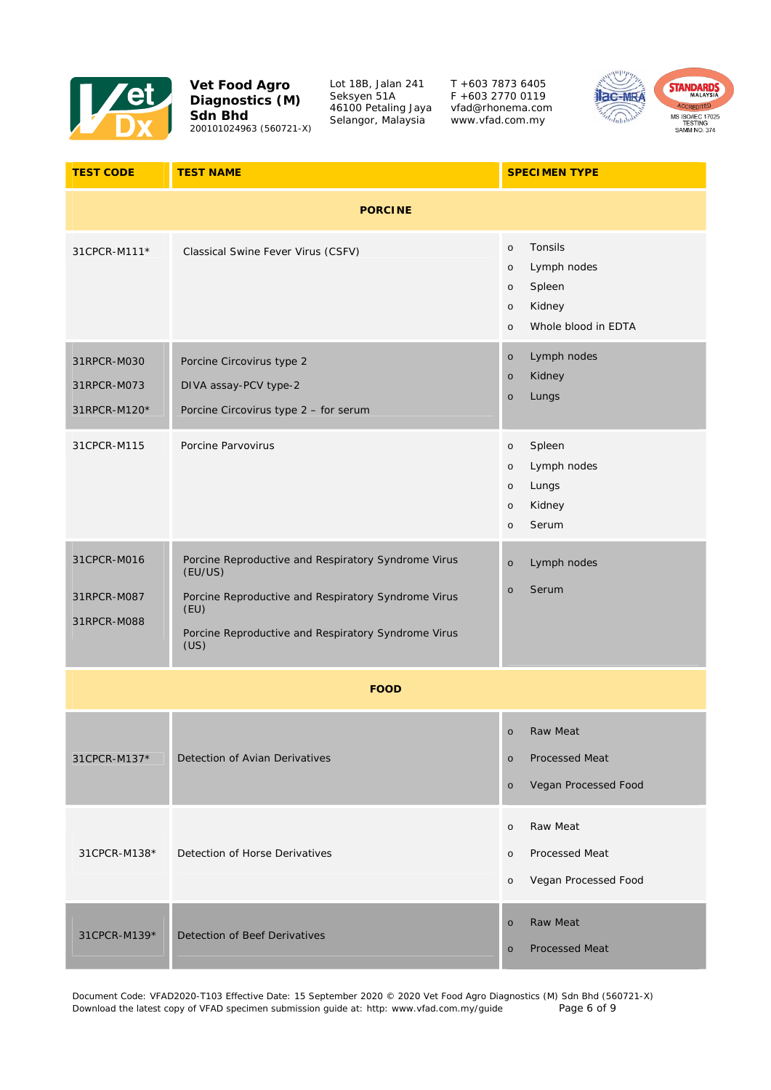

Lot 18B, Jalan 241 Seksyen 51A 46100 Petaling Jaya Selangor, Malaysia

T +603 7873 6405 F +603 2770 0119 vfad@rhonema.com www.vfad.com.my



| <b>TEST CODE</b>                           | <b>TEST NAME</b>                                                                                                                                                                             | <b>SPECIMEN TYPE</b>                                                                                                     |
|--------------------------------------------|----------------------------------------------------------------------------------------------------------------------------------------------------------------------------------------------|--------------------------------------------------------------------------------------------------------------------------|
|                                            | <b>PORCINE</b>                                                                                                                                                                               |                                                                                                                          |
| 31CPCR-M111*                               | Classical Swine Fever Virus (CSFV)                                                                                                                                                           | Tonsils<br>$\circ$<br>Lymph nodes<br>$\circ$<br>Spleen<br>$\circ$<br>Kidney<br>$\circ$<br>Whole blood in EDTA<br>$\circ$ |
| 31RPCR-M030<br>31RPCR-M073<br>31RPCR-M120* | Porcine Circovirus type 2<br>DIVA assay-PCV type-2<br>Porcine Circovirus type 2 - for serum                                                                                                  | Lymph nodes<br>$\circ$<br>Kidney<br>$\circ$<br>Lungs<br>$\circ$                                                          |
| 31CPCR-M115                                | Porcine Parvovirus                                                                                                                                                                           | Spleen<br>$\circ$<br>Lymph nodes<br>$\circ$<br>Lungs<br>$\circ$<br>Kidney<br>$\circ$<br>Serum<br>$\circ$                 |
| 31CPCR-M016<br>31RPCR-M087<br>31RPCR-M088  | Porcine Reproductive and Respiratory Syndrome Virus<br>(EU/US)<br>Porcine Reproductive and Respiratory Syndrome Virus<br>(EU)<br>Porcine Reproductive and Respiratory Syndrome Virus<br>(US) | Lymph nodes<br>$\circ$<br>Serum<br>$\circ$                                                                               |
|                                            | <b>FOOD</b>                                                                                                                                                                                  |                                                                                                                          |
| 31CPCR-M137*                               | Detection of Avian Derivatives                                                                                                                                                               | Raw Meat<br>$\circ$<br>Processed Meat<br>$\circ$<br>Vegan Processed Food<br>$\circ$                                      |
| 31CPCR-M138*                               | Detection of Horse Derivatives                                                                                                                                                               | Raw Meat<br>$\circ$<br>Processed Meat<br>$\circ$<br>Vegan Processed Food<br>$\circ$                                      |
| 31CPCR-M139*                               | Detection of Beef Derivatives                                                                                                                                                                | <b>Raw Meat</b><br>$\circ$<br><b>Processed Meat</b><br>$\circ$                                                           |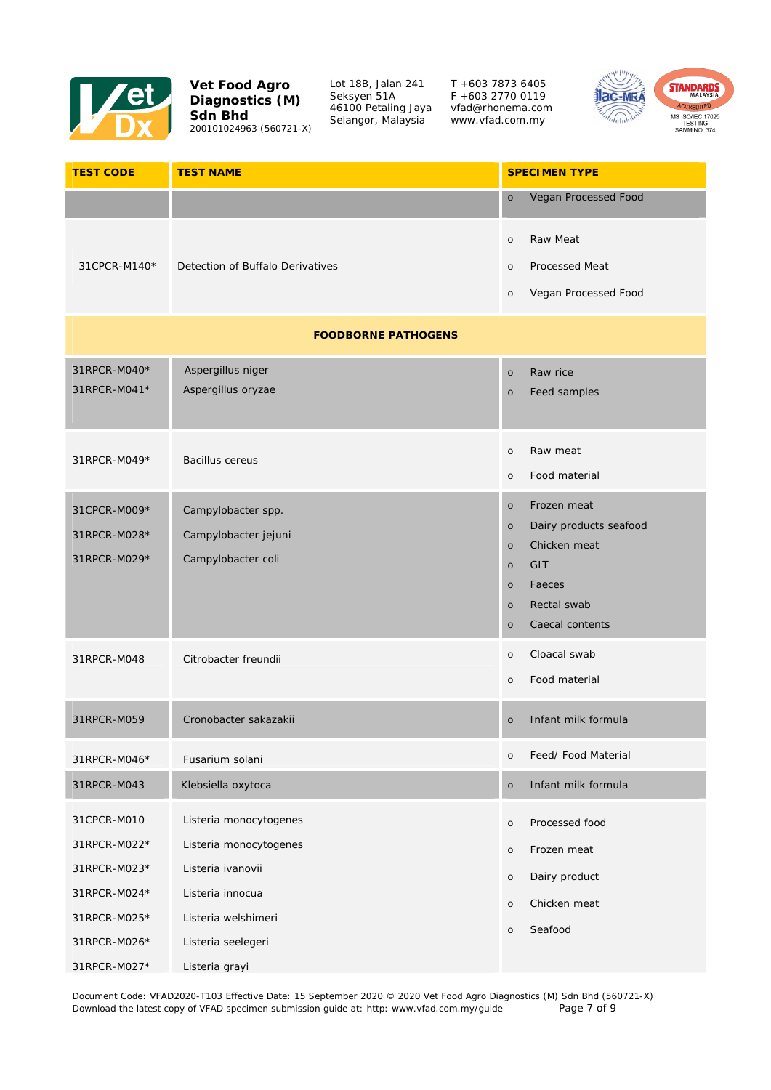

Lot 18B, Jalan 241 Seksyen 51A 46100 Petaling Jaya Selangor, Malaysia

T +603 7873 6405 F +603 2770 0119 vfad@rhonema.com www.vfad.com.my



| <b>TEST CODE</b>                                                                            | <b>TEST NAME</b>                                                                                                                       | <b>SPECIMEN TYPE</b>                                                                                                                                                                  |
|---------------------------------------------------------------------------------------------|----------------------------------------------------------------------------------------------------------------------------------------|---------------------------------------------------------------------------------------------------------------------------------------------------------------------------------------|
|                                                                                             |                                                                                                                                        | Vegan Processed Food<br>$\circ$                                                                                                                                                       |
| 31CPCR-M140*                                                                                | Detection of Buffalo Derivatives                                                                                                       | Raw Meat<br>$\circ$<br><b>Processed Meat</b><br>$\circ$<br>Vegan Processed Food<br>$\circ$                                                                                            |
|                                                                                             | <b>FOODBORNE PATHOGENS</b>                                                                                                             |                                                                                                                                                                                       |
| 31RPCR-M040*<br>31RPCR-M041*                                                                | Aspergillus niger<br>Aspergillus oryzae                                                                                                | Raw rice<br>$\circ$<br>Feed samples<br>$\circ$                                                                                                                                        |
| 31RPCR-M049*                                                                                | <b>Bacillus cereus</b>                                                                                                                 | Raw meat<br>$\circ$<br>Food material<br>$\circ$                                                                                                                                       |
| 31CPCR-M009*<br>31RPCR-M028*<br>31RPCR-M029*                                                | Campylobacter spp.<br>Campylobacter jejuni<br>Campylobacter coli                                                                       | Frozen meat<br>$\circ$<br>Dairy products seafood<br>$\circ$<br>Chicken meat<br>$\circ$<br>GIT<br>$\circ$<br>Faeces<br>$\circ$<br>Rectal swab<br>$\circ$<br>Caecal contents<br>$\circ$ |
| 31RPCR-M048                                                                                 | Citrobacter freundii                                                                                                                   | Cloacal swab<br>$\circ$<br>Food material<br>$\circ$                                                                                                                                   |
| 31RPCR-M059                                                                                 | Cronobacter sakazakii                                                                                                                  | Infant milk formula<br>$\circ$                                                                                                                                                        |
| 31RPCR-M046*                                                                                | Fusarium solani                                                                                                                        | Feed/ Food Material<br>$\circ$                                                                                                                                                        |
| 31RPCR-M043                                                                                 | Klebsiella oxytoca                                                                                                                     | Infant milk formula<br>$\circ$                                                                                                                                                        |
| 31CPCR-M010<br>31RPCR-M022*<br>31RPCR-M023*<br>31RPCR-M024*<br>31RPCR-M025*<br>31RPCR-M026* | Listeria monocytogenes<br>Listeria monocytogenes<br>Listeria ivanovii<br>Listeria innocua<br>Listeria welshimeri<br>Listeria seelegeri | Processed food<br>$\circ$<br>Frozen meat<br>$\circ$<br>Dairy product<br>$\circ$<br>Chicken meat<br>$\circ$<br>Seafood<br>$\circ$                                                      |
| 31RPCR-M027*                                                                                | Listeria grayi                                                                                                                         |                                                                                                                                                                                       |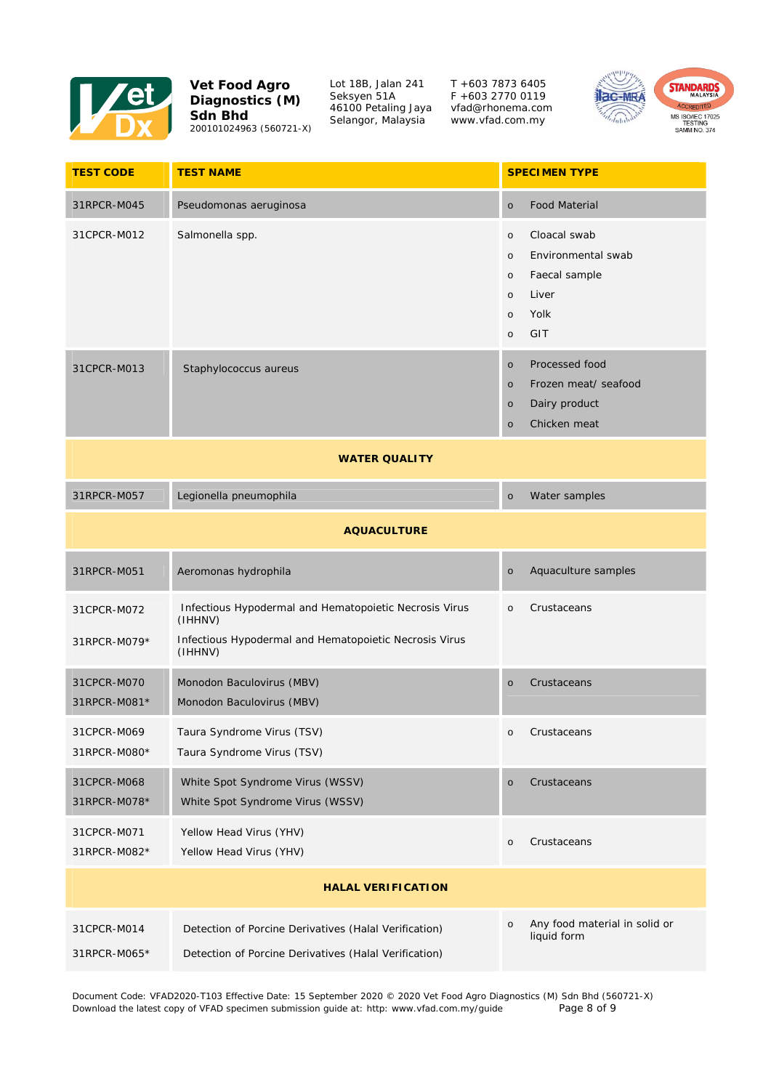

Lot 18B, Jalan 241 Seksyen 51A 46100 Petaling Jaya Selangor, Malaysia

T +603 7873 6405 F +603 2770 0119 vfad@rhonema.com www.vfad.com.my



| <b>TEST CODE</b>            | <b>TEST NAME</b>                                                                                                                       | <b>SPECIMEN TYPE</b>                                                                                                                          |
|-----------------------------|----------------------------------------------------------------------------------------------------------------------------------------|-----------------------------------------------------------------------------------------------------------------------------------------------|
| 31RPCR-M045                 | Pseudomonas aeruginosa                                                                                                                 | <b>Food Material</b><br>$\circ$                                                                                                               |
| 31CPCR-M012                 | Salmonella spp.                                                                                                                        | Cloacal swab<br>$\circ$<br>Environmental swab<br>$\circ$<br>Faecal sample<br>$\circ$<br>Liver<br>$\circ$<br>Yolk<br>$\circ$<br>GIT<br>$\circ$ |
| 31CPCR-M013                 | Staphylococcus aureus                                                                                                                  | Processed food<br>$\circ$<br>Frozen meat/ seafood<br>$\circ$<br>Dairy product<br>$\circ$<br>Chicken meat<br>$\circ$                           |
|                             | <b>WATER QUALITY</b>                                                                                                                   |                                                                                                                                               |
| 31RPCR-M057                 | Legionella pneumophila                                                                                                                 | Water samples<br>$\circ$                                                                                                                      |
|                             | <b>AQUACULTURE</b>                                                                                                                     |                                                                                                                                               |
| 31RPCR-M051                 | Aeromonas hydrophila                                                                                                                   | Aquaculture samples<br>$\circ$                                                                                                                |
| 31CPCR-M072<br>31RPCR-M079* | Infectious Hypodermal and Hematopoietic Necrosis Virus<br>(IHHNV)<br>Infectious Hypodermal and Hematopoietic Necrosis Virus<br>(IHHNV) | Crustaceans<br>$\circ$                                                                                                                        |
| 31CPCR-M070<br>31RPCR-M081* | Monodon Baculovirus (MBV)<br>Monodon Baculovirus (MBV)                                                                                 | Crustaceans<br>$\circ$                                                                                                                        |
| 31CPCR-M069<br>31RPCR-M080* | Taura Syndrome Virus (TSV)<br>Taura Syndrome Virus (TSV)                                                                               | Crustaceans<br>$\circ$                                                                                                                        |
| 31CPCR-M068<br>31RPCR-M078* | White Spot Syndrome Virus (WSSV)<br>White Spot Syndrome Virus (WSSV)                                                                   | Crustaceans<br>$\circ$                                                                                                                        |
| 31CPCR-M071<br>31RPCR-M082* | Yellow Head Virus (YHV)<br>Yellow Head Virus (YHV)                                                                                     | Crustaceans<br>$\circ$                                                                                                                        |
|                             | <b>HALAL VERIFICATION</b>                                                                                                              |                                                                                                                                               |
| 31CPCR-M014<br>31RPCR-M065* | Detection of Porcine Derivatives (Halal Verification)<br>Detection of Porcine Derivatives (Halal Verification)                         | Any food material in solid or<br>$\circ$<br>liquid form                                                                                       |